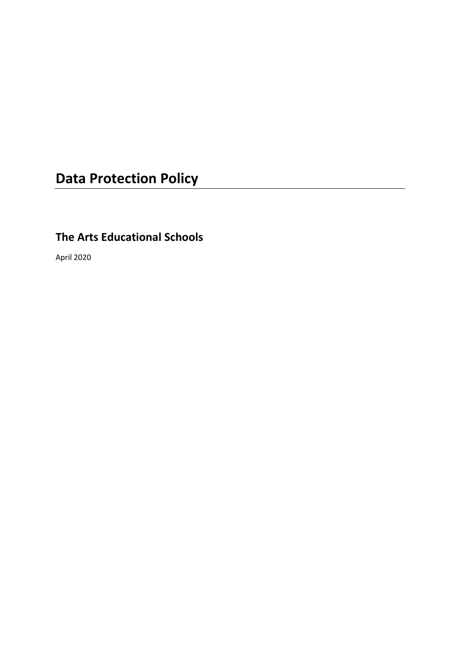# **Data Protection Policy**

# **The Arts Educational Schools**

April 2020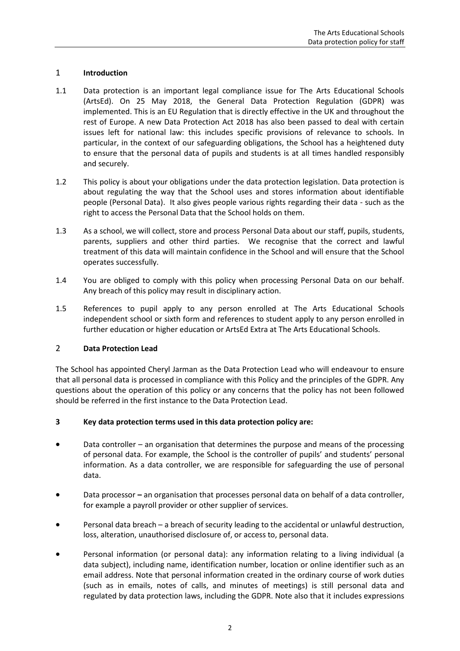# 1 **Introduction**

- 1.1 Data protection is an important legal compliance issue for The Arts Educational Schools (ArtsEd). On 25 May 2018, the General Data Protection Regulation (GDPR) was implemented. This is an EU Regulation that is directly effective in the UK and throughout the rest of Europe. A new Data Protection Act 2018 has also been passed to deal with certain issues left for national law: this includes specific provisions of relevance to schools. In particular, in the context of our safeguarding obligations, the School has a heightened duty to ensure that the personal data of pupils and students is at all times handled responsibly and securely.
- 1.2 This policy is about your obligations under the data protection legislation. Data protection is about regulating the way that the School uses and stores information about identifiable people (Personal Data). It also gives people various rights regarding their data - such as the right to access the Personal Data that the School holds on them.
- 1.3 As a school, we will collect, store and process Personal Data about our staff, pupils, students, parents, suppliers and other third parties. We recognise that the correct and lawful treatment of this data will maintain confidence in the School and will ensure that the School operates successfully.
- 1.4 You are obliged to comply with this policy when processing Personal Data on our behalf. Any breach of this policy may result in disciplinary action.
- 1.5 References to pupil apply to any person enrolled at The Arts Educational Schools independent school or sixth form and references to student apply to any person enrolled in further education or higher education or ArtsEd Extra at The Arts Educational Schools.

# 2 **Data Protection Lead**

The School has appointed Cheryl Jarman as the Data Protection Lead who will endeavour to ensure that all personal data is processed in compliance with this Policy and the principles of the GDPR. Any questions about the operation of this policy or any concerns that the policy has not been followed should be referred in the first instance to the Data Protection Lead.

# **3 Key data protection terms used in this data protection policy are:**

- Data controller an organisation that determines the purpose and means of the processing of personal data. For example, the School is the controller of pupils' and students' personal information. As a data controller, we are responsible for safeguarding the use of personal data.
- Data processor **–** an organisation that processes personal data on behalf of a data controller, for example a payroll provider or other supplier of services.
- Personal data breach a breach of security leading to the accidental or unlawful destruction, loss, alteration, unauthorised disclosure of, or access to, personal data.
- Personal information (or personal data): any information relating to a living individual (a data subject), including name, identification number, location or online identifier such as an email address. Note that personal information created in the ordinary course of work duties (such as in emails, notes of calls, and minutes of meetings) is still personal data and regulated by data protection laws, including the GDPR. Note also that it includes expressions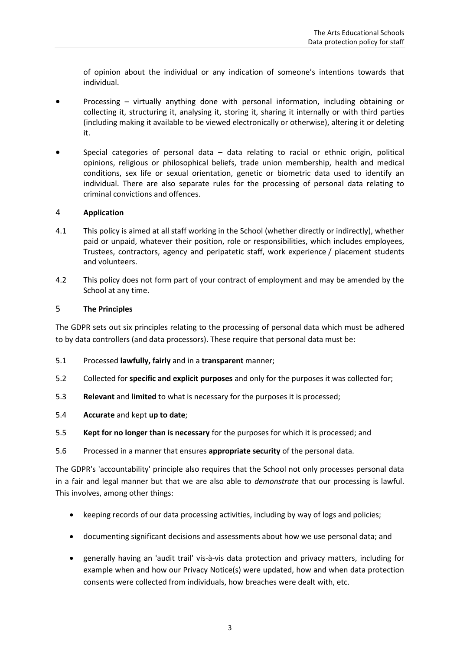of opinion about the individual or any indication of someone's intentions towards that individual.

- Processing virtually anything done with personal information, including obtaining or collecting it, structuring it, analysing it, storing it, sharing it internally or with third parties (including making it available to be viewed electronically or otherwise), altering it or deleting it.
- Special categories of personal data  $-$  data relating to racial or ethnic origin, political opinions, religious or philosophical beliefs, trade union membership, health and medical conditions, sex life or sexual orientation, genetic or biometric data used to identify an individual. There are also separate rules for the processing of personal data relating to criminal convictions and offences.

#### 4 **Application**

- 4.1 This policy is aimed at all staff working in the School (whether directly or indirectly), whether paid or unpaid, whatever their position, role or responsibilities, which includes employees, Trustees, contractors, agency and peripatetic staff, work experience / placement students and volunteers.
- 4.2 This policy does not form part of your contract of employment and may be amended by the School at any time.

#### 5 **The Principles**

The GDPR sets out six principles relating to the processing of personal data which must be adhered to by data controllers (and data processors). These require that personal data must be:

- 5.1 Processed **lawfully, fairly** and in a **transparent** manner;
- 5.2 Collected for **specific and explicit purposes** and only for the purposes it was collected for;
- 5.3 **Relevant** and **limited** to what is necessary for the purposes it is processed;
- 5.4 **Accurate** and kept **up to date**;
- 5.5 **Kept for no longer than is necessary** for the purposes for which it is processed; and
- 5.6 Processed in a manner that ensures **appropriate security** of the personal data.

The GDPR's 'accountability' principle also requires that the School not only processes personal data in a fair and legal manner but that we are also able to *demonstrate* that our processing is lawful. This involves, among other things:

- keeping records of our data processing activities, including by way of logs and policies;
- documenting significant decisions and assessments about how we use personal data; and
- generally having an 'audit trail' vis-à-vis data protection and privacy matters, including for example when and how our Privacy Notice(s) were updated, how and when data protection consents were collected from individuals, how breaches were dealt with, etc.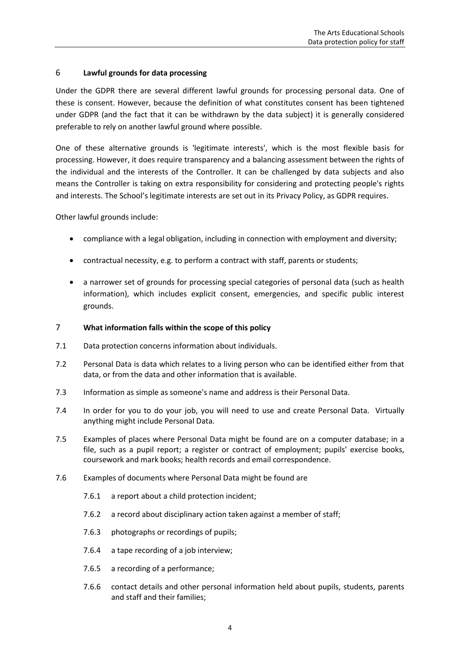# 6 **Lawful grounds for data processing**

Under the GDPR there are several different lawful grounds for processing personal data. One of these is consent. However, because the definition of what constitutes consent has been tightened under GDPR (and the fact that it can be withdrawn by the data subject) it is generally considered preferable to rely on another lawful ground where possible.

One of these alternative grounds is 'legitimate interests', which is the most flexible basis for processing. However, it does require transparency and a balancing assessment between the rights of the individual and the interests of the Controller. It can be challenged by data subjects and also means the Controller is taking on extra responsibility for considering and protecting people's rights and interests. The School's legitimate interests are set out in its Privacy Policy, as GDPR requires.

Other lawful grounds include:

- compliance with a legal obligation, including in connection with employment and diversity;
- contractual necessity, e.g. to perform a contract with staff, parents or students;
- a narrower set of grounds for processing special categories of personal data (such as health information), which includes explicit consent, emergencies, and specific public interest grounds.

# 7 **What information falls within the scope of this policy**

- 7.1 Data protection concerns information about individuals.
- 7.2 Personal Data is data which relates to a living person who can be identified either from that data, or from the data and other information that is available.
- 7.3 Information as simple as someone's name and address is their Personal Data.
- 7.4 In order for you to do your job, you will need to use and create Personal Data. Virtually anything might include Personal Data.
- 7.5 Examples of places where Personal Data might be found are on a computer database; in a file, such as a pupil report; a register or contract of employment; pupils' exercise books, coursework and mark books; health records and email correspondence.
- 7.6 Examples of documents where Personal Data might be found are
	- 7.6.1 a report about a child protection incident;
	- 7.6.2 a record about disciplinary action taken against a member of staff;
	- 7.6.3 photographs or recordings of pupils;
	- 7.6.4 a tape recording of a job interview;
	- 7.6.5 a recording of a performance;
	- 7.6.6 contact details and other personal information held about pupils, students, parents and staff and their families;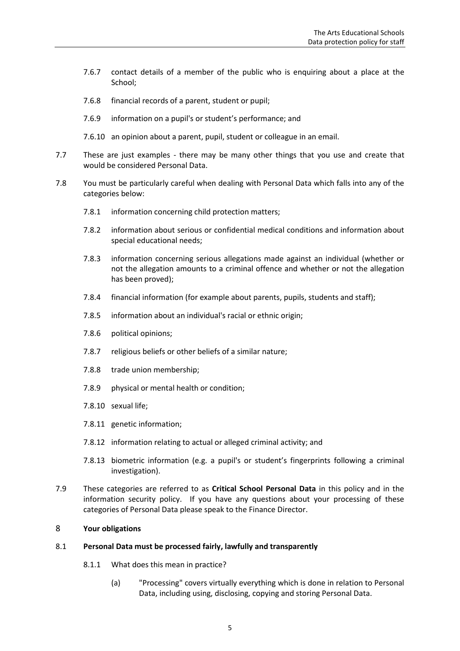- 7.6.7 contact details of a member of the public who is enquiring about a place at the School;
- 7.6.8 financial records of a parent, student or pupil;
- 7.6.9 information on a pupil's or student's performance; and
- 7.6.10 an opinion about a parent, pupil, student or colleague in an email.
- 7.7 These are just examples there may be many other things that you use and create that would be considered Personal Data.
- <span id="page-4-0"></span>7.8 You must be particularly careful when dealing with Personal Data which falls into any of the categories below:
	- 7.8.1 information concerning child protection matters;
	- 7.8.2 information about serious or confidential medical conditions and information about special educational needs;
	- 7.8.3 information concerning serious allegations made against an individual (whether or not the allegation amounts to a criminal offence and whether or not the allegation has been proved);
	- 7.8.4 financial information (for example about parents, pupils, students and staff);
	- 7.8.5 information about an individual's racial or ethnic origin;
	- 7.8.6 political opinions;
	- 7.8.7 religious beliefs or other beliefs of a similar nature;
	- 7.8.8 trade union membership;
	- 7.8.9 physical or mental health or condition;
	- 7.8.10 sexual life;
	- 7.8.11 genetic information;
	- 7.8.12 information relating to actual or alleged criminal activity; and
	- 7.8.13 biometric information (e.g. a pupil's or student's fingerprints following a criminal investigation).
- 7.9 These categories are referred to as **Critical School Personal Data** in this policy and in the information security policy. If you have any questions about your processing of these categories of Personal Data please speak to the Finance Director.

#### 8 **Your obligations**

#### 8.1 **Personal Data must be processed fairly, lawfully and transparently**

- 8.1.1 What does this mean in practice?
	- (a) "Processing" covers virtually everything which is done in relation to Personal Data, including using, disclosing, copying and storing Personal Data.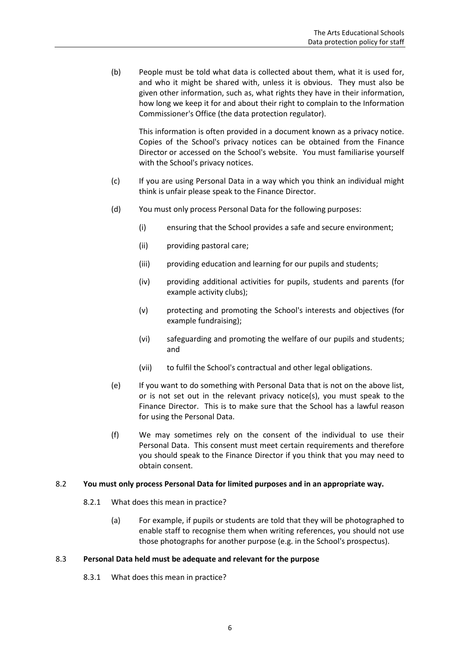(b) People must be told what data is collected about them, what it is used for, and who it might be shared with, unless it is obvious. They must also be given other information, such as, what rights they have in their information, how long we keep it for and about their right to complain to the Information Commissioner's Office (the data protection regulator).

This information is often provided in a document known as a privacy notice. Copies of the School's privacy notices can be obtained from the Finance Director or accessed on the School's website. You must familiarise yourself with the School's privacy notices.

- (c) If you are using Personal Data in a way which you think an individual might think is unfair please speak to the Finance Director.
- (d) You must only process Personal Data for the following purposes:
	- (i) ensuring that the School provides a safe and secure environment;
	- (ii) providing pastoral care;
	- (iii) providing education and learning for our pupils and students;
	- (iv) providing additional activities for pupils, students and parents (for example activity clubs);
	- (v) protecting and promoting the School's interests and objectives (for example fundraising);
	- (vi) safeguarding and promoting the welfare of our pupils and students; and
	- (vii) to fulfil the School's contractual and other legal obligations.
- (e) If you want to do something with Personal Data that is not on the above list, or is not set out in the relevant privacy notice(s), you must speak to the Finance Director. This is to make sure that the School has a lawful reason for using the Personal Data.
- (f) We may sometimes rely on the consent of the individual to use their Personal Data. This consent must meet certain requirements and therefore you should speak to the Finance Director if you think that you may need to obtain consent.

#### 8.2 **You must only process Personal Data for limited purposes and in an appropriate way.**

- 8.2.1 What does this mean in practice?
	- (a) For example, if pupils or students are told that they will be photographed to enable staff to recognise them when writing references, you should not use those photographs for another purpose (e.g. in the School's prospectus).

#### 8.3 **Personal Data held must be adequate and relevant for the purpose**

8.3.1 What does this mean in practice?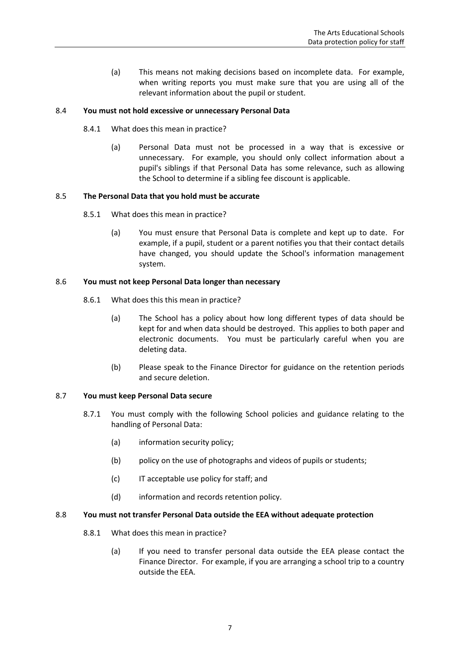(a) This means not making decisions based on incomplete data. For example, when writing reports you must make sure that you are using all of the relevant information about the pupil or student.

#### 8.4 **You must not hold excessive or unnecessary Personal Data**

- 8.4.1 What does this mean in practice?
	- (a) Personal Data must not be processed in a way that is excessive or unnecessary. For example, you should only collect information about a pupil's siblings if that Personal Data has some relevance, such as allowing the School to determine if a sibling fee discount is applicable.

#### 8.5 **The Personal Data that you hold must be accurate**

- 8.5.1 What does this mean in practice?
	- (a) You must ensure that Personal Data is complete and kept up to date. For example, if a pupil, student or a parent notifies you that their contact details have changed, you should update the School's information management system.

#### 8.6 **You must not keep Personal Data longer than necessary**

- 8.6.1 What does this this mean in practice?
	- (a) The School has a policy about how long different types of data should be kept for and when data should be destroyed. This applies to both paper and electronic documents. You must be particularly careful when you are deleting data.
	- (b) Please speak to the Finance Director for guidance on the retention periods and secure deletion.

#### 8.7 **You must keep Personal Data secure**

- 8.7.1 You must comply with the following School policies and guidance relating to the handling of Personal Data:
	- (a) information security policy;
	- (b) policy on the use of photographs and videos of pupils or students;
	- (c) IT acceptable use policy for staff; and
	- (d) information and records retention policy.

#### 8.8 **You must not transfer Personal Data outside the EEA without adequate protection**

- 8.8.1 What does this mean in practice?
	- (a) If you need to transfer personal data outside the EEA please contact the Finance Director. For example, if you are arranging a school trip to a country outside the EEA.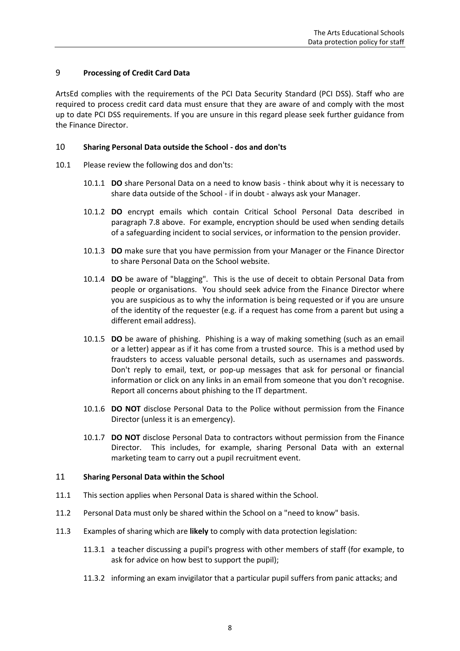# 9 **Processing of Credit Card Data**

ArtsEd complies with the requirements of the PCI Data Security Standard (PCI DSS). Staff who are required to process credit card data must ensure that they are aware of and comply with the most up to date PCI DSS requirements. If you are unsure in this regard please seek further guidance from the Finance Director.

#### 10 **Sharing Personal Data outside the School - dos and don'ts**

- 10.1 Please review the following dos and don'ts:
	- 10.1.1 **DO** share Personal Data on a need to know basis think about why it is necessary to share data outside of the School - if in doubt - always ask your Manager.
	- 10.1.2 **DO** encrypt emails which contain Critical School Personal Data described in paragraph [7.8](#page-4-0) above. For example, encryption should be used when sending details of a safeguarding incident to social services, or information to the pension provider.
	- 10.1.3 **DO** make sure that you have permission from your Manager or the Finance Director to share Personal Data on the School website.
	- 10.1.4 **DO** be aware of "blagging". This is the use of deceit to obtain Personal Data from people or organisations. You should seek advice from the Finance Director where you are suspicious as to why the information is being requested or if you are unsure of the identity of the requester (e.g. if a request has come from a parent but using a different email address).
	- 10.1.5 **DO** be aware of phishing. Phishing is a way of making something (such as an email or a letter) appear as if it has come from a trusted source. This is a method used by fraudsters to access valuable personal details, such as usernames and passwords. Don't reply to email, text, or pop-up messages that ask for personal or financial information or click on any links in an email from someone that you don't recognise. Report all concerns about phishing to the IT department.
	- 10.1.6 **DO NOT** disclose Personal Data to the Police without permission from the Finance Director (unless it is an emergency).
	- 10.1.7 **DO NOT** disclose Personal Data to contractors without permission from the Finance Director. This includes, for example, sharing Personal Data with an external marketing team to carry out a pupil recruitment event.

#### 11 **Sharing Personal Data within the School**

- 11.1 This section applies when Personal Data is shared within the School.
- 11.2 Personal Data must only be shared within the School on a "need to know" basis.
- 11.3 Examples of sharing which are **likely** to comply with data protection legislation:
	- 11.3.1 a teacher discussing a pupil's progress with other members of staff (for example, to ask for advice on how best to support the pupil);
	- 11.3.2 informing an exam invigilator that a particular pupil suffers from panic attacks; and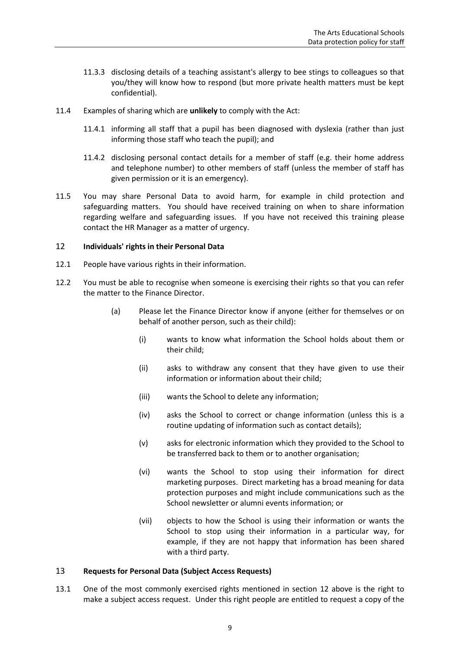- 11.3.3 disclosing details of a teaching assistant's allergy to bee stings to colleagues so that you/they will know how to respond (but more private health matters must be kept confidential).
- 11.4 Examples of sharing which are **unlikely** to comply with the Act:
	- 11.4.1 informing all staff that a pupil has been diagnosed with dyslexia (rather than just informing those staff who teach the pupil); and
	- 11.4.2 disclosing personal contact details for a member of staff (e.g. their home address and telephone number) to other members of staff (unless the member of staff has given permission or it is an emergency).
- 11.5 You may share Personal Data to avoid harm, for example in child protection and safeguarding matters. You should have received training on when to share information regarding welfare and safeguarding issues. If you have not received this training please contact the HR Manager as a matter of urgency.

#### 12 **Individuals' rights in their Personal Data**

- 12.1 People have various rights in their information.
- 12.2 You must be able to recognise when someone is exercising their rights so that you can refer the matter to the Finance Director.
	- (a) Please let the Finance Director know if anyone (either for themselves or on behalf of another person, such as their child):
		- (i) wants to know what information the School holds about them or their child;
		- (ii) asks to withdraw any consent that they have given to use their information or information about their child;
		- (iii) wants the School to delete any information;
		- (iv) asks the School to correct or change information (unless this is a routine updating of information such as contact details);
		- (v) asks for electronic information which they provided to the School to be transferred back to them or to another organisation;
		- (vi) wants the School to stop using their information for direct marketing purposes. Direct marketing has a broad meaning for data protection purposes and might include communications such as the School newsletter or alumni events information; or
		- (vii) objects to how the School is using their information or wants the School to stop using their information in a particular way, for example, if they are not happy that information has been shared with a third party.

#### 13 **Requests for Personal Data (Subject Access Requests)**

13.1 One of the most commonly exercised rights mentioned in section 12 above is the right to make a subject access request. Under this right people are entitled to request a copy of the